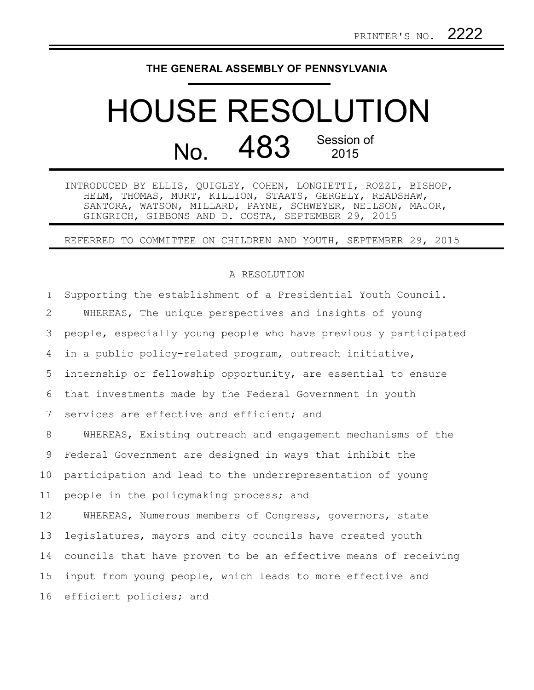## **THE GENERAL ASSEMBLY OF PENNSYLVANIA**

## HOUSE RESOLUTION  $N<sub>0</sub>$  483 Session of 2015

INTRODUCED BY ELLIS, QUIGLEY, COHEN, LONGIETTI, ROZZI, BISHOP, HELM, THOMAS, MURT, KILLION, STAATS, GERGELY, READSHAW, SANTORA, WATSON, MILLARD, PAYNE, SCHWEYER, NEILSON, MAJOR, GINGRICH, GIBBONS AND D. COSTA, SEPTEMBER 29, 2015

## REFERRED TO COMMITTEE ON CHILDREN AND YOUTH, SEPTEMBER 29, 2015

## A RESOLUTION

Supporting the establishment of a Presidential Youth Council. WHEREAS, The unique perspectives and insights of young people, especially young people who have previously participated in a public policy-related program, outreach initiative, internship or fellowship opportunity, are essential to ensure that investments made by the Federal Government in youth services are effective and efficient; and WHEREAS, Existing outreach and engagement mechanisms of the Federal Government are designed in ways that inhibit the participation and lead to the underrepresentation of young people in the policymaking process; and WHEREAS, Numerous members of Congress, governors, state legislatures, mayors and city councils have created youth councils that have proven to be an effective means of receiving input from young people, which leads to more effective and efficient policies; and 1 2 3 4 5 6 7 8 9 10 11 12 13 14 15 16